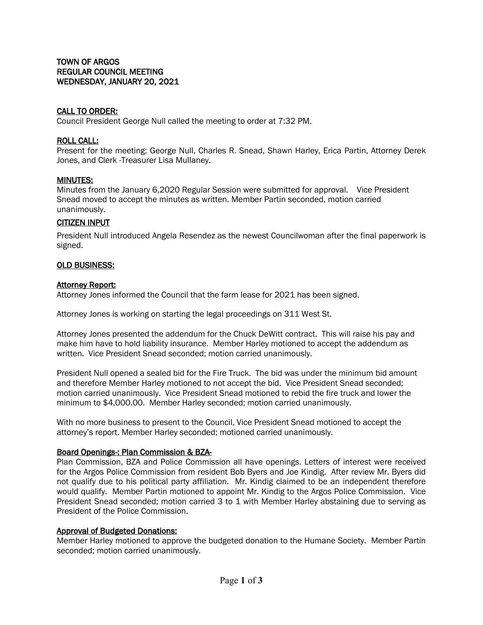# CALL TO ORDER:

Council President George Null called the meeting to order at 7:32 PM.

### ROLL CALL:

Present for the meeting: George Null, Charles R. Snead, Shawn Harley, Erica Partin, Attorney Derek Jones, and Clerk -Treasurer Lisa Mullaney.

### MINUTES:

Minutes from the January 6,2020 Regular Session were submitted for approval. Vice President Snead moved to accept the minutes as written. Member Partin seconded, motion carried unanimously.

# CITIZEN INPUT

President Null introduced Angela Resendez as the newest Councilwoman after the final paperwork is signed.

### OLD BUSINESS:

### **Attorney Report:**

Attorney Jones informed the Council that the farm lease for 2021 has been signed.

Attorney Jones is working on starting the legal proceedings on 311 West St.

Attorney Jones presented the addendum for the Chuck DeWitt contract. This will raise his pay and make him have to hold liability insurance. Member Harley motioned to accept the addendum as written. Vice President Snead seconded; motion carried unanimously.

President Null opened a sealed bid for the Fire Truck. The bid was under the minimum bid amount and therefore Member Harley motioned to not accept the bid. Vice President Snead seconded; motion carried unanimously. Vice President Snead motioned to rebid the fire truck and lower the minimum to \$4,000.00. Member Harley seconded; motion carried unanimously.

With no more business to present to the Council, Vice President Snead motioned to accept the attorney's report. Member Harley seconded; motioned carried unanimously.

# Board Openings-: Plan Commission & BZA-

Plan Commission, BZA and Police Commission all have openings. Letters of interest were received for the Argos Police Commission from resident Bob Byers and Joe Kindig. After review Mr. Byers did not qualify due to his political party affiliation. Mr. Kindig claimed to be an independent therefore would qualify. Member Partin motioned to appoint Mr. Kindig to the Argos Police Commission. Vice President Snead seconded; motion carried 3 to 1 with Member Harley abstaining due to serving as President of the Police Commission.

#### Approval of Budgeted Donations:

Member Harley motioned to approve the budgeted donation to the Humane Society. Member Partin seconded; motion carried unanimously.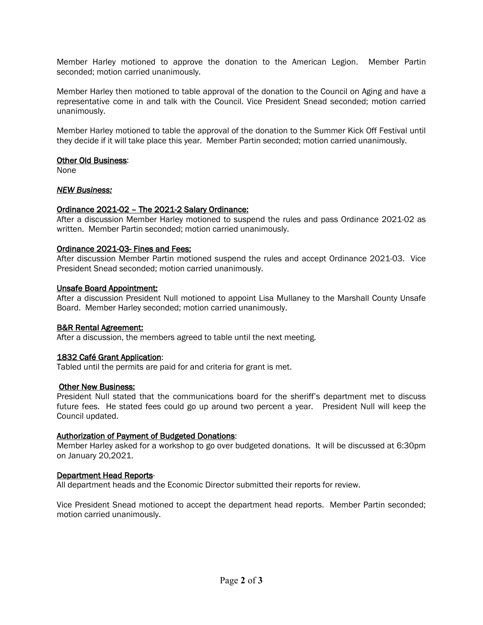Member Harley motioned to approve the donation to the American Legion. Member Partin seconded; motion carried unanimously.

Member Harley then motioned to table approval of the donation to the Council on Aging and have a representative come in and talk with the Council. Vice President Snead seconded; motion carried unanimously.

Member Harley motioned to table the approval of the donation to the Summer Kick Off Festival until they decide if it will take place this year. Member Partin seconded; motion carried unanimously.

# **Other Old Business:**

None

# *NEW Business:*

# Ordinance 2021-02 – The 2021-2 Salary Ordinance:

After a discussion Member Harley motioned to suspend the rules and pass Ordinance 2021-02 as written. Member Partin seconded; motion carried unanimously.

# Ordinance 2021-03- Fines and Fees:

After discussion Member Partin motioned suspend the rules and accept Ordinance 2021-03. Vice President Snead seconded; motion carried unanimously.

# Unsafe Board Appointment:

After a discussion President Null motioned to appoint Lisa Mullaney to the Marshall County Unsafe Board. Member Harley seconded; motion carried unanimously.

# B&R Rental Agreement:

After a discussion, the members agreed to table until the next meeting.

# 1832 Café Grant Application:

Tabled until the permits are paid for and criteria for grant is met.

# Other New Business:

President Null stated that the communications board for the sheriff's department met to discuss future fees. He stated fees could go up around two percent a year. President Null will keep the Council updated.

# Authorization of Payment of Budgeted Donations:

Member Harley asked for a workshop to go over budgeted donations. It will be discussed at 6:30pm on January 20,2021.

# Department Head Reports-

All department heads and the Economic Director submitted their reports for review.

Vice President Snead motioned to accept the department head reports. Member Partin seconded; motion carried unanimously.